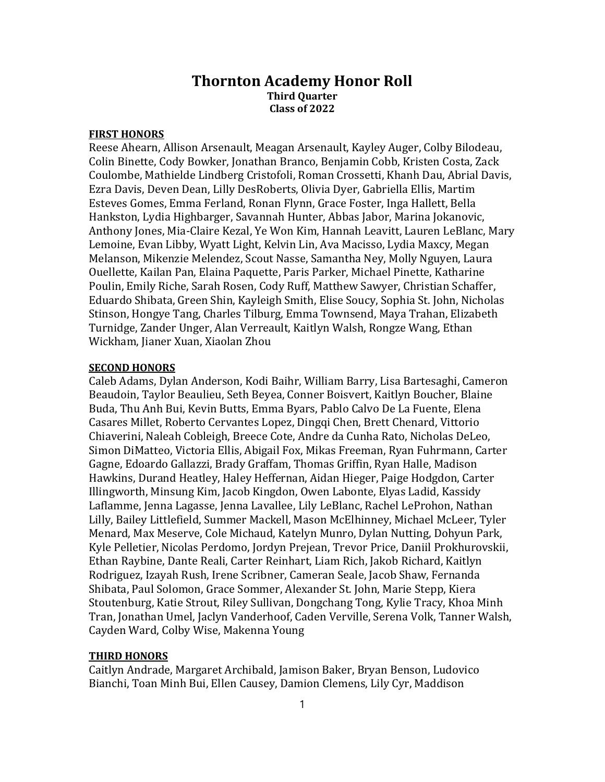## Thornton Academy Honor Roll Third Quarter Class of 2022

## FIRST HONORS

Reese Ahearn, Allison Arsenault, Meagan Arsenault, Kayley Auger, Colby Bilodeau, Colin Binette, Cody Bowker, Jonathan Branco, Benjamin Cobb, Kristen Costa, Zack Coulombe, Mathielde Lindberg Cristofoli, Roman Crossetti, Khanh Dau, Abrial Davis, Ezra Davis, Deven Dean, Lilly DesRoberts, Olivia Dyer, Gabriella Ellis, Martim Esteves Gomes, Emma Ferland, Ronan Flynn, Grace Foster, Inga Hallett, Bella Hankston, Lydia Highbarger, Savannah Hunter, Abbas Jabor, Marina Jokanovic, Anthony Jones, Mia-Claire Kezal, Ye Won Kim, Hannah Leavitt, Lauren LeBlanc, Mary Lemoine, Evan Libby, Wyatt Light, Kelvin Lin, Ava Macisso, Lydia Maxcy, Megan Melanson, Mikenzie Melendez, Scout Nasse, Samantha Ney, Molly Nguyen, Laura Ouellette, Kailan Pan, Elaina Paquette, Paris Parker, Michael Pinette, Katharine Poulin, Emily Riche, Sarah Rosen, Cody Ruff, Matthew Sawyer, Christian Schaffer, Eduardo Shibata, Green Shin, Kayleigh Smith, Elise Soucy, Sophia St. John, Nicholas Stinson, Hongye Tang, Charles Tilburg, Emma Townsend, Maya Trahan, Elizabeth Turnidge, Zander Unger, Alan Verreault, Kaitlyn Walsh, Rongze Wang, Ethan Wickham, Jianer Xuan, Xiaolan Zhou

## SECOND HONORS

Caleb Adams, Dylan Anderson, Kodi Baihr, William Barry, Lisa Bartesaghi, Cameron Beaudoin, Taylor Beaulieu, Seth Beyea, Conner Boisvert, Kaitlyn Boucher, Blaine Buda, Thu Anh Bui, Kevin Butts, Emma Byars, Pablo Calvo De La Fuente, Elena Casares Millet, Roberto Cervantes Lopez, Dingqi Chen, Brett Chenard, Vittorio Chiaverini, Naleah Cobleigh, Breece Cote, Andre da Cunha Rato, Nicholas DeLeo, Simon DiMatteo, Victoria Ellis, Abigail Fox, Mikas Freeman, Ryan Fuhrmann, Carter Gagne, Edoardo Gallazzi, Brady Graffam, Thomas Griffin, Ryan Halle, Madison Hawkins, Durand Heatley, Haley Heffernan, Aidan Hieger, Paige Hodgdon, Carter Illingworth, Minsung Kim, Jacob Kingdon, Owen Labonte, Elyas Ladid, Kassidy Laflamme, Jenna Lagasse, Jenna Lavallee, Lily LeBlanc, Rachel LeProhon, Nathan Lilly, Bailey Littlefield, Summer Mackell, Mason McElhinney, Michael McLeer, Tyler Menard, Max Meserve, Cole Michaud, Katelyn Munro, Dylan Nutting, Dohyun Park, Kyle Pelletier, Nicolas Perdomo, Jordyn Prejean, Trevor Price, Daniil Prokhurovskii, Ethan Raybine, Dante Reali, Carter Reinhart, Liam Rich, Jakob Richard, Kaitlyn Rodriguez, Izayah Rush, Irene Scribner, Cameran Seale, Jacob Shaw, Fernanda Shibata, Paul Solomon, Grace Sommer, Alexander St. John, Marie Stepp, Kiera Stoutenburg, Katie Strout, Riley Sullivan, Dongchang Tong, Kylie Tracy, Khoa Minh Tran, Jonathan Umel, Jaclyn Vanderhoof, Caden Verville, Serena Volk, Tanner Walsh, Cayden Ward, Colby Wise, Makenna Young

## THIRD HONORS

Caitlyn Andrade, Margaret Archibald, Jamison Baker, Bryan Benson, Ludovico Bianchi, Toan Minh Bui, Ellen Causey, Damion Clemens, Lily Cyr, Maddison